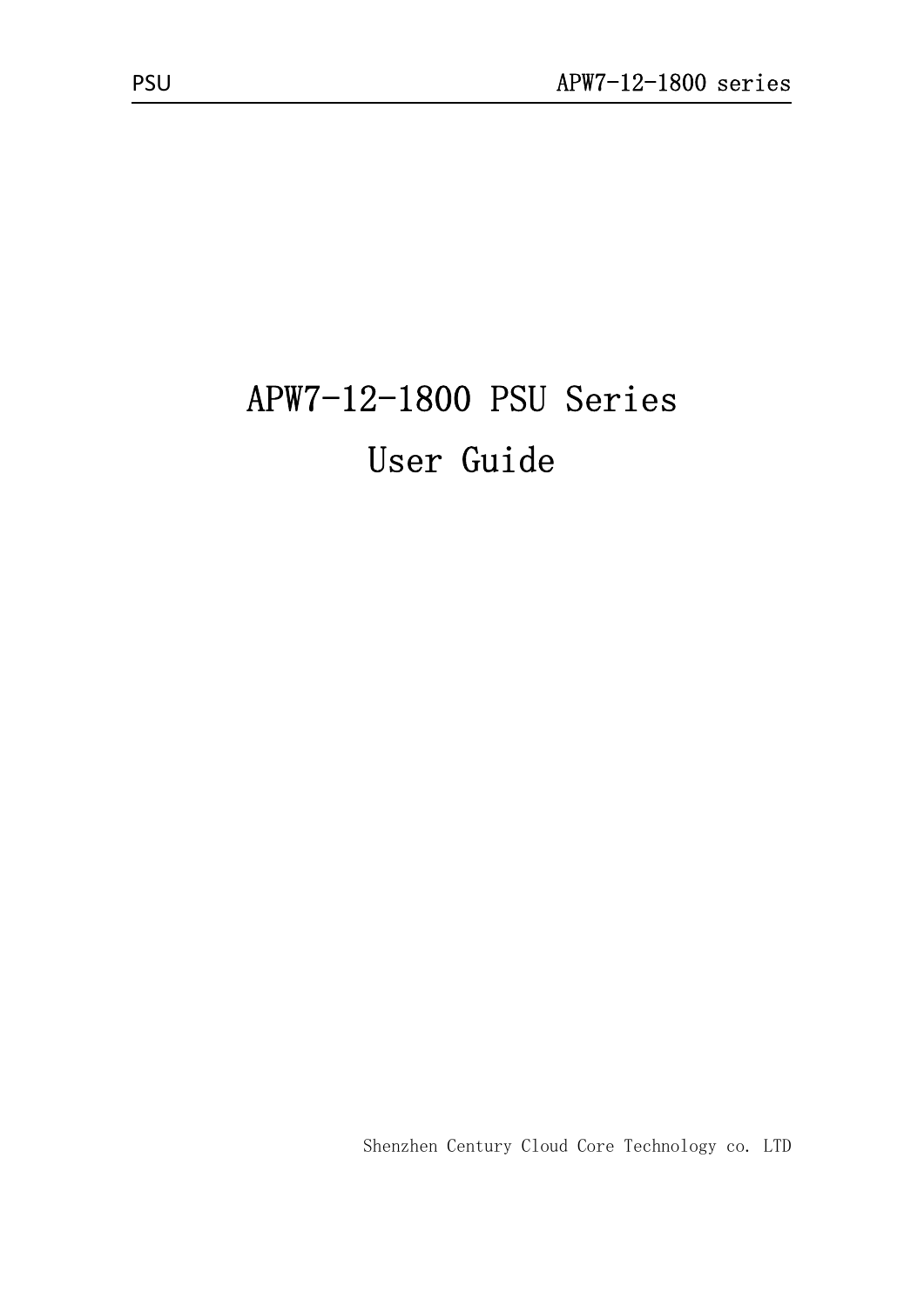# APW7-12-1800 PSU Series User Guide

Shenzhen Century Cloud Core Technology co. LTD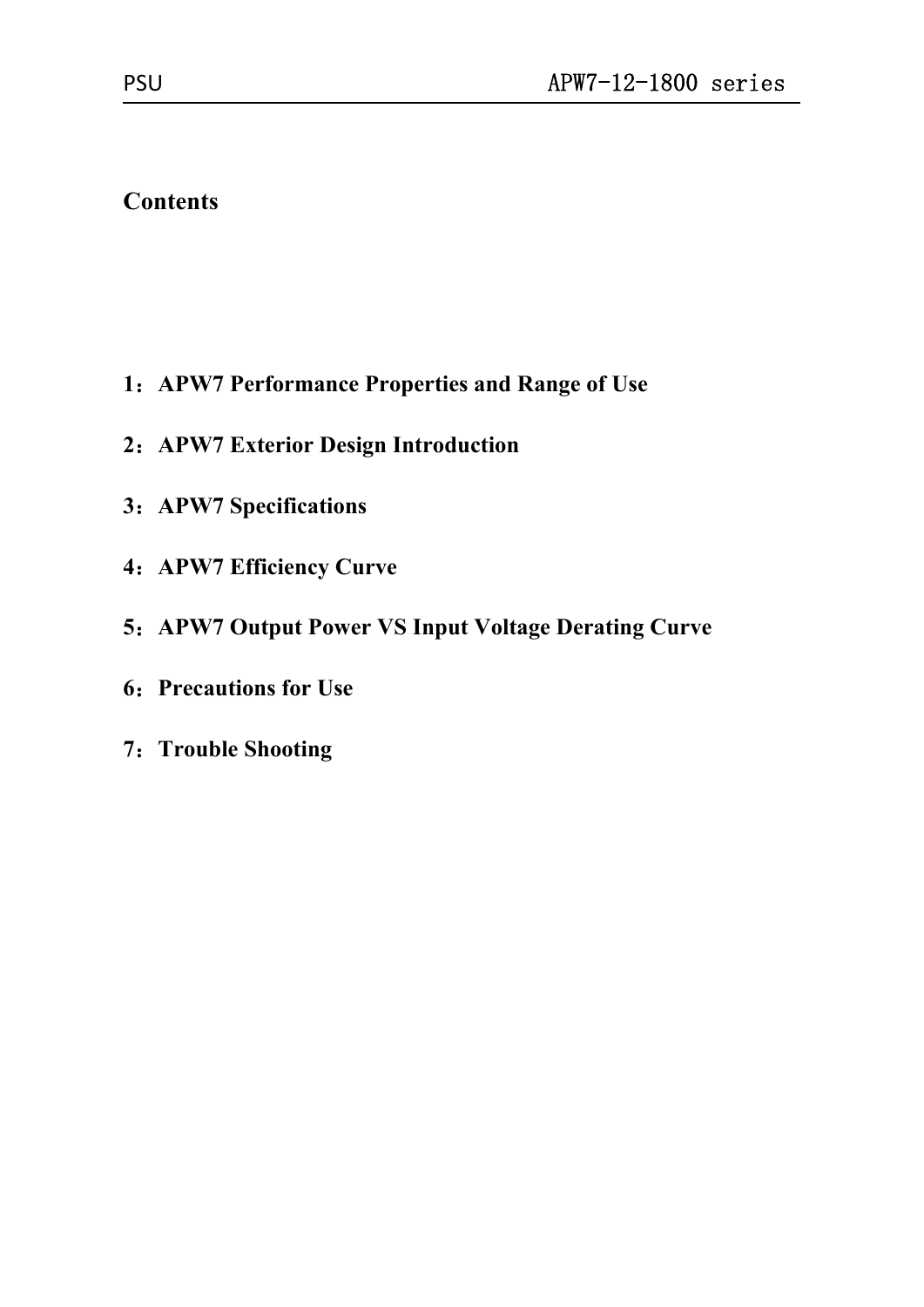# **Contents**

- :**APW7 Performance Properties and Range of Use**
- :**APW7 Exterior Design Introduction**
- :**APW7 Specifications**
- :**APW7 Efficiency Curve**
- :**APW7 Output Power VS Input Voltage Derating Curve**
- :**Precautions for Use**
- :**Trouble Shooting**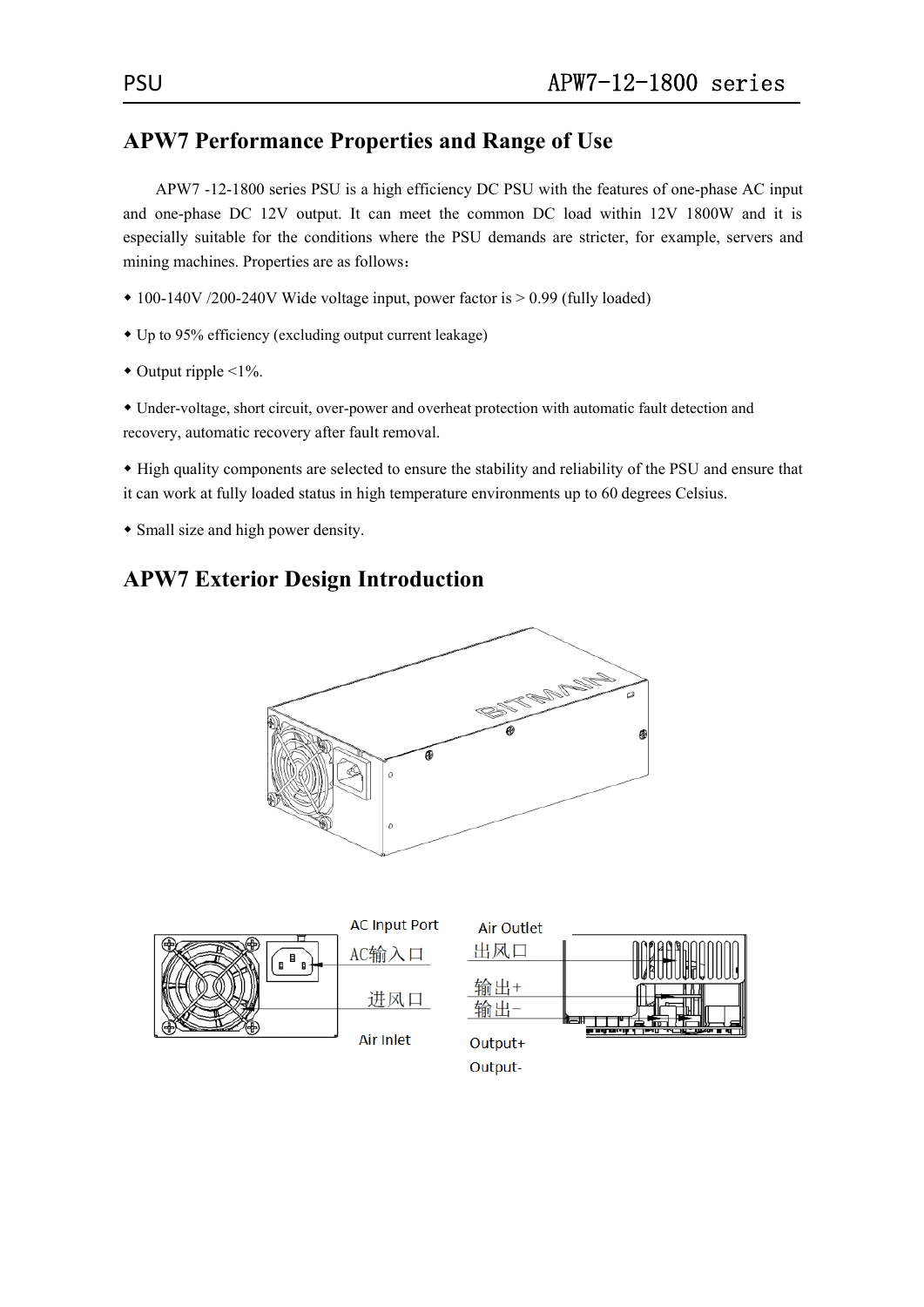## **APW7 Performance Properties and Range of Use**

APW7 -12-1800 series PSU is a high efficiency DC PSU with the features of one-phase AC input and one-phase DC 12V output. It can meet the common DC load within 12V 1800W and it is especially suitable for the conditions where the PSU demands are stricter, for example, servers and mining machines. Properties are as follows:

- 100-140V /200-240V Wide voltage input, power factor is > 0.99 (fully loaded)
- Up to 95% efficiency (excluding output current leakage)
- $\bullet$  Output ripple <1%.

 Under-voltage, short circuit, over-power and overheat protection with automatic fault detection and recovery, automatic recovery after fault removal.

 High quality components are selected to ensure the stability and reliability of the PSU and ensure that it can work at fully loaded status in high temperature environments up to 60 degrees Celsius.

Small size and high power density.

# **APW7 Exterior Design Introduction**



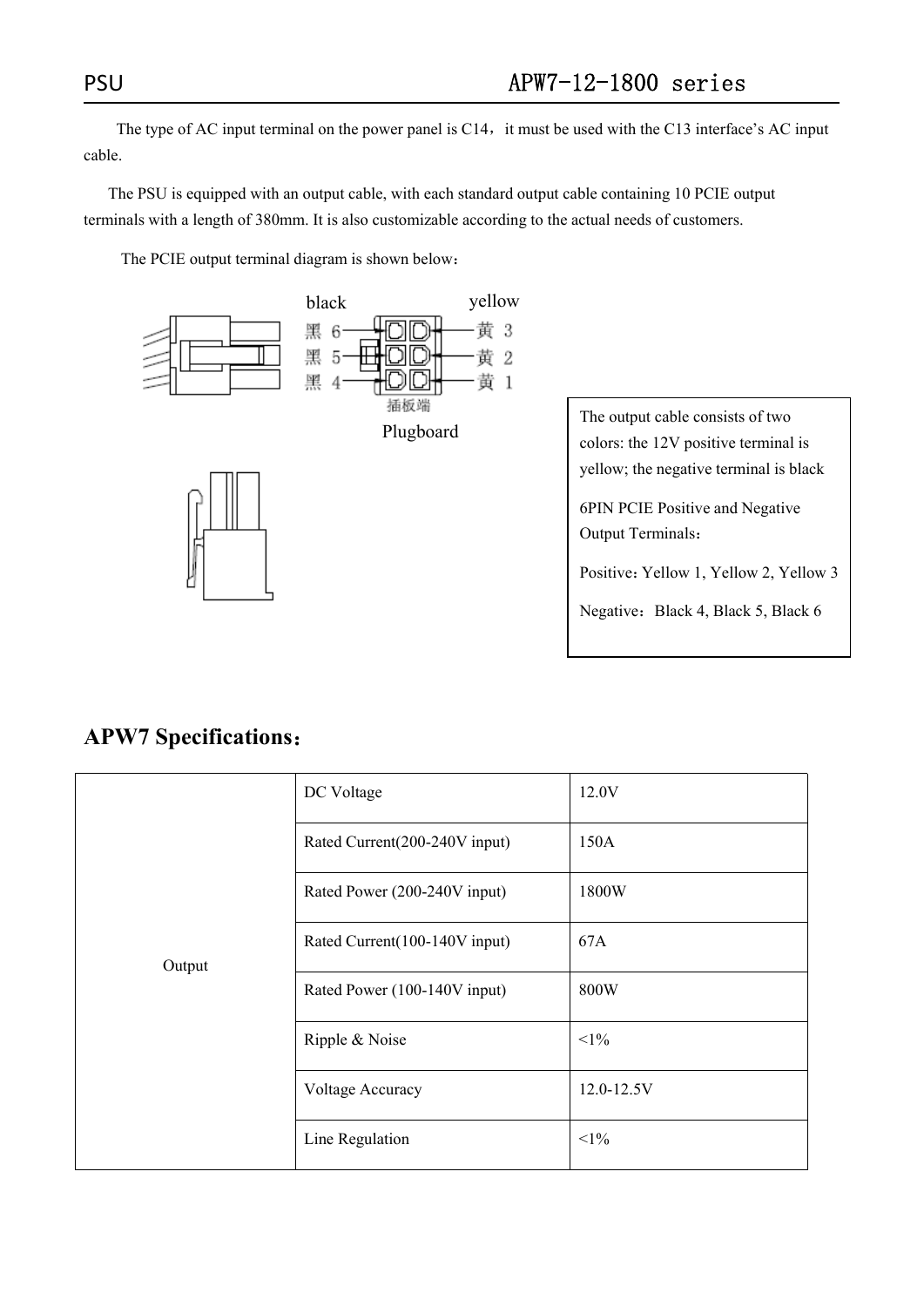The type of AC input terminal on the power panel is C14, it must be used with the C13 interface's AC input cable.

The PSU is equipped with an output cable, with each standard output cable containing 10 PCIE output terminals with a length of 380mm. It is also customizable according to the actual needs of customers.

The PCIE output terminal diagram is shown below:



The output cable consists of two colors: the 12V positive terminal is yellow; the negative terminal is black

6PIN PCIE Positive and Negative Output Terminals:

Positive: Yellow 1, Yellow 2, Yellow 3

Negative: Black 4, Black 5, Black 6

### **APW7 Specifications**:

| Output | DC Voltage                    | 12.0V      |
|--------|-------------------------------|------------|
|        | Rated Current(200-240V input) | 150A       |
|        | Rated Power (200-240V input)  | 1800W      |
|        | Rated Current(100-140V input) | 67A        |
|        | Rated Power (100-140V input)  | 800W       |
|        | Ripple & Noise                | $<1\%$     |
|        | Voltage Accuracy              | 12.0-12.5V |
|        | Line Regulation               | $<1\%$     |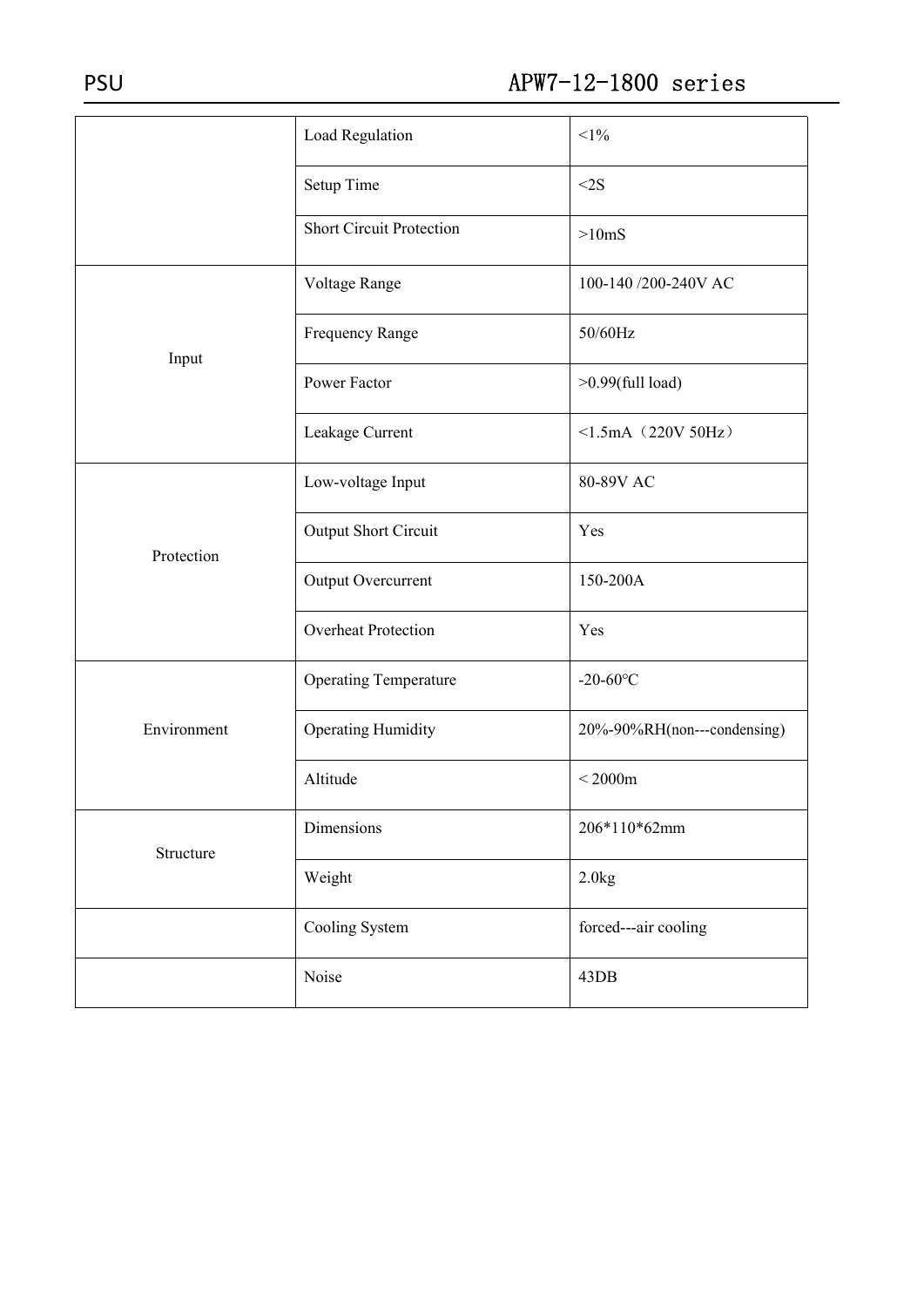|             | Load Regulation                 | $<1\%$                      |  |
|-------------|---------------------------------|-----------------------------|--|
|             | Setup Time                      | <2S                         |  |
|             | <b>Short Circuit Protection</b> | >10 <sub>ms</sub>           |  |
|             | Voltage Range                   | 100-140 /200-240V AC        |  |
| Input       | Frequency Range                 | 50/60Hz                     |  |
|             | Power Factor                    | $>0.99$ (full load)         |  |
|             | Leakage Current                 | $\leq$ 1.5mA $(220V50Hz)$   |  |
| Protection  | Low-voltage Input               | 80-89V AC                   |  |
|             | Output Short Circuit            | Yes                         |  |
|             | Output Overcurrent              | 150-200A                    |  |
|             | <b>Overheat Protection</b>      | Yes                         |  |
|             | <b>Operating Temperature</b>    | $-20 - 60$ °C               |  |
| Environment | <b>Operating Humidity</b>       | 20%-90%RH(non---condensing) |  |
|             | Altitude                        | $<$ 2000 $m$                |  |
| Structure   | Dimensions                      | 206*110*62mm                |  |
|             | Weight                          | 2.0kg                       |  |
|             | Cooling System                  | forced---air cooling        |  |
|             | Noise                           | 43DB                        |  |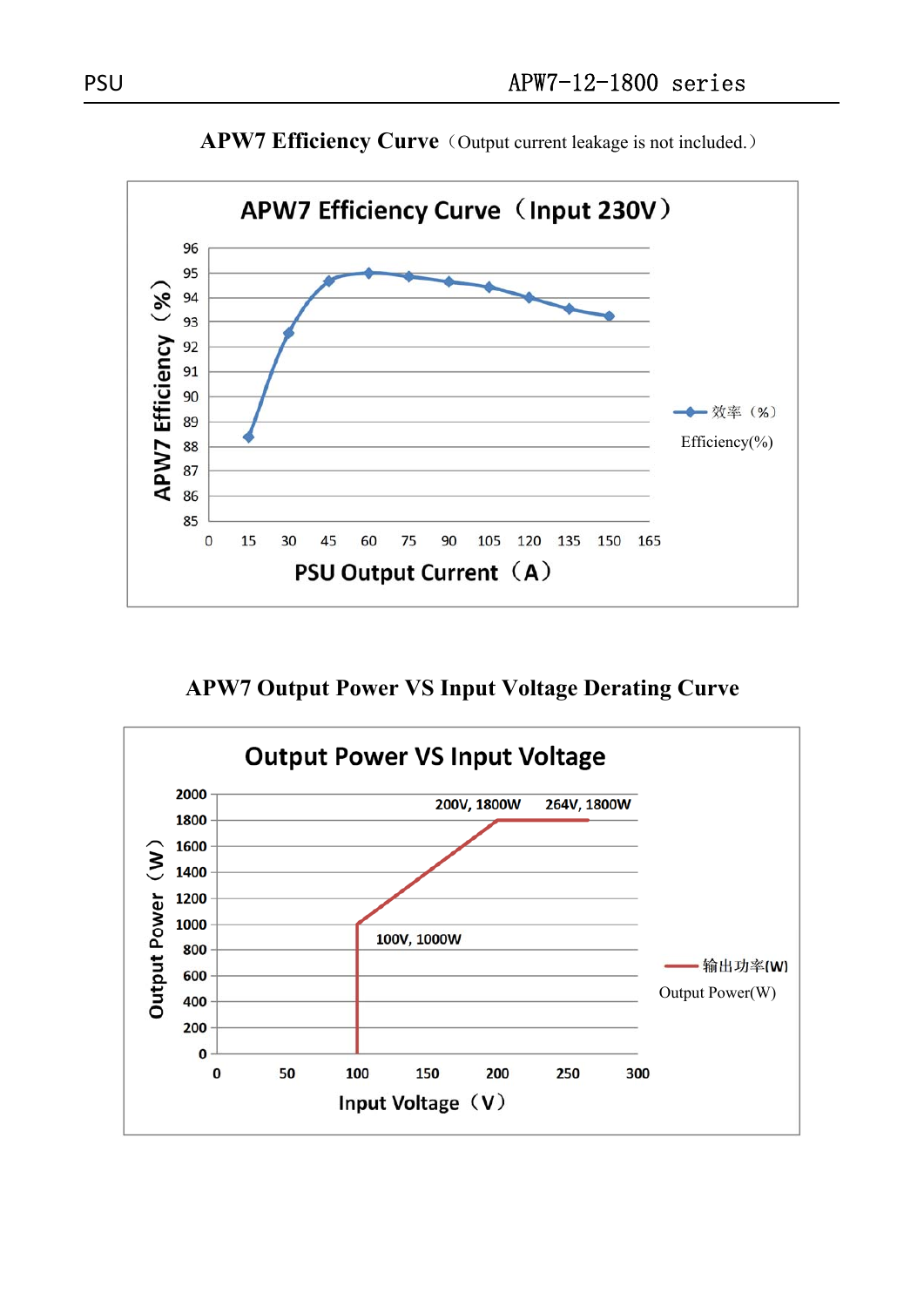

**APW7 Efficiency Curve** (Output current leakage is not included.)

**APW7 Output Power VS Input Voltage Derating Curve**

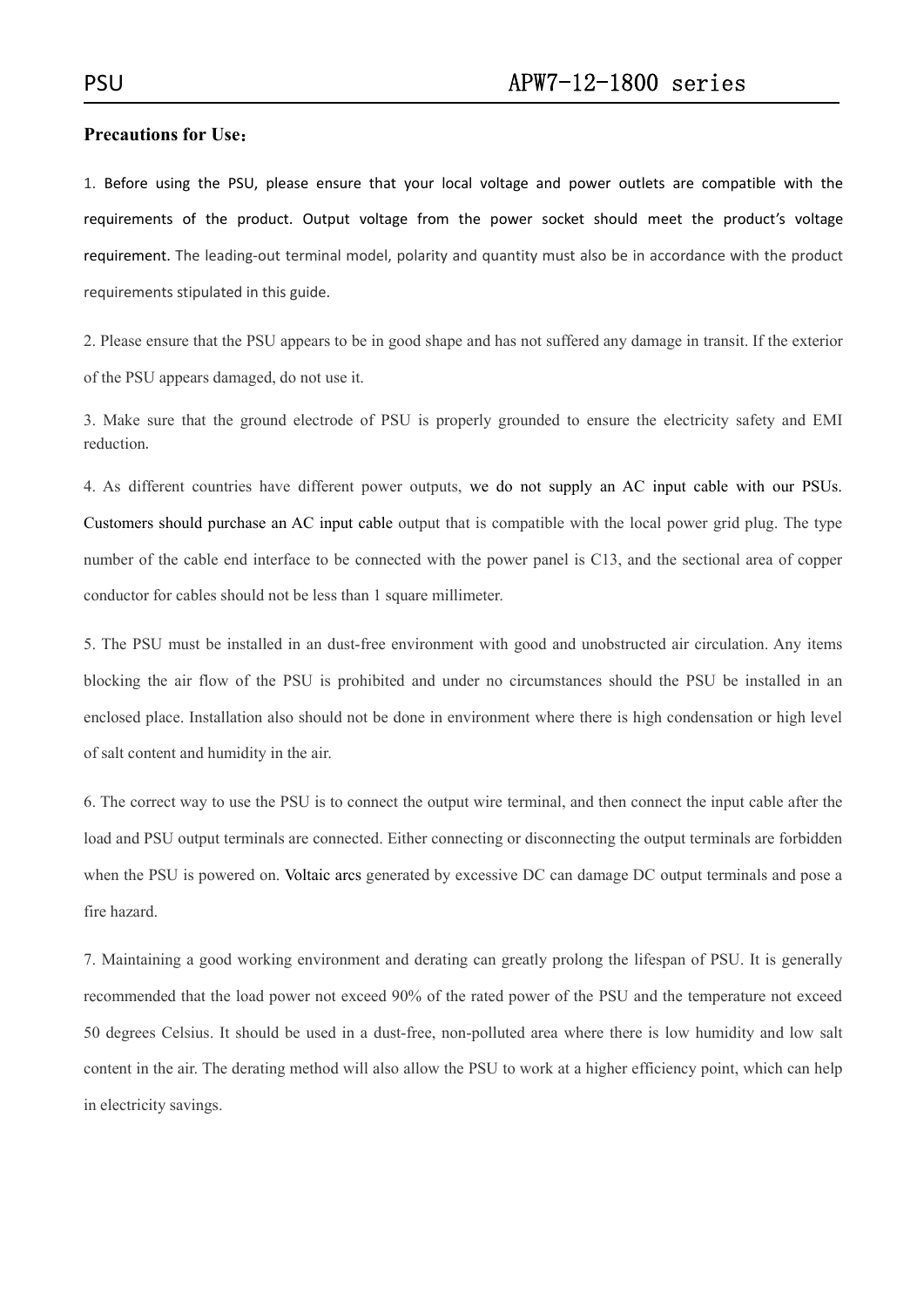### **Precautions for Use**:

1. Before using the PSU, please ensure that your local voltage and power outlets are compatible with the requirements of the product. Output voltage from the power socket should meet the product's voltage requirement. The leading‐out terminal model, polarity and quantity must also be in accordance with the product requirements stipulated in this guide.

2. Please ensure that the PSU appears to be in good shape and has not suffered any damage in transit. If the exterior of the PSU appears damaged, do not use it.

3. Make sure that the ground electrode of PSU is properly grounded to ensure the electricity safety and EMI reduction.

4. As different countries have different power outputs, we do not supply an AC input cable with our PSUs. Customers should purchase an AC input cable output that is compatible with the local power grid plug. The type number of the cable end interface to be connected with the power panel is C13, and the sectional area of copper conductor for cables should not be less than 1 square millimeter.

5. The PSU must be installed in an dust-free environment with good and unobstructed air circulation. Any items blocking the air flow of the PSU is prohibited and under no circumstances should the PSU be installed in an enclosed place. Installation also should not be done in environment where there is high condensation or high level of salt content and humidity in the air.

6. The correct way to use the PSU is to connect the output wire terminal, and then connect the input cable after the load and PSU output terminals are connected. Either connecting or disconnecting the output terminals are forbidden when the PSU is powered on. Voltaic arcs generated by excessive DC can damage DC output terminals and pose a fire hazard.

7. Maintaining a good working environment and derating can greatly prolong the lifespan of PSU. It is generally recommended that the load power not exceed 90% of the rated power of the PSU and the temperature not exceed 50 degrees Celsius. It should be used in a dust-free, non-polluted area where there is low humidity and low salt content in the air. The derating method will also allow the PSU to work at a higher efficiency point, which can help in electricity savings.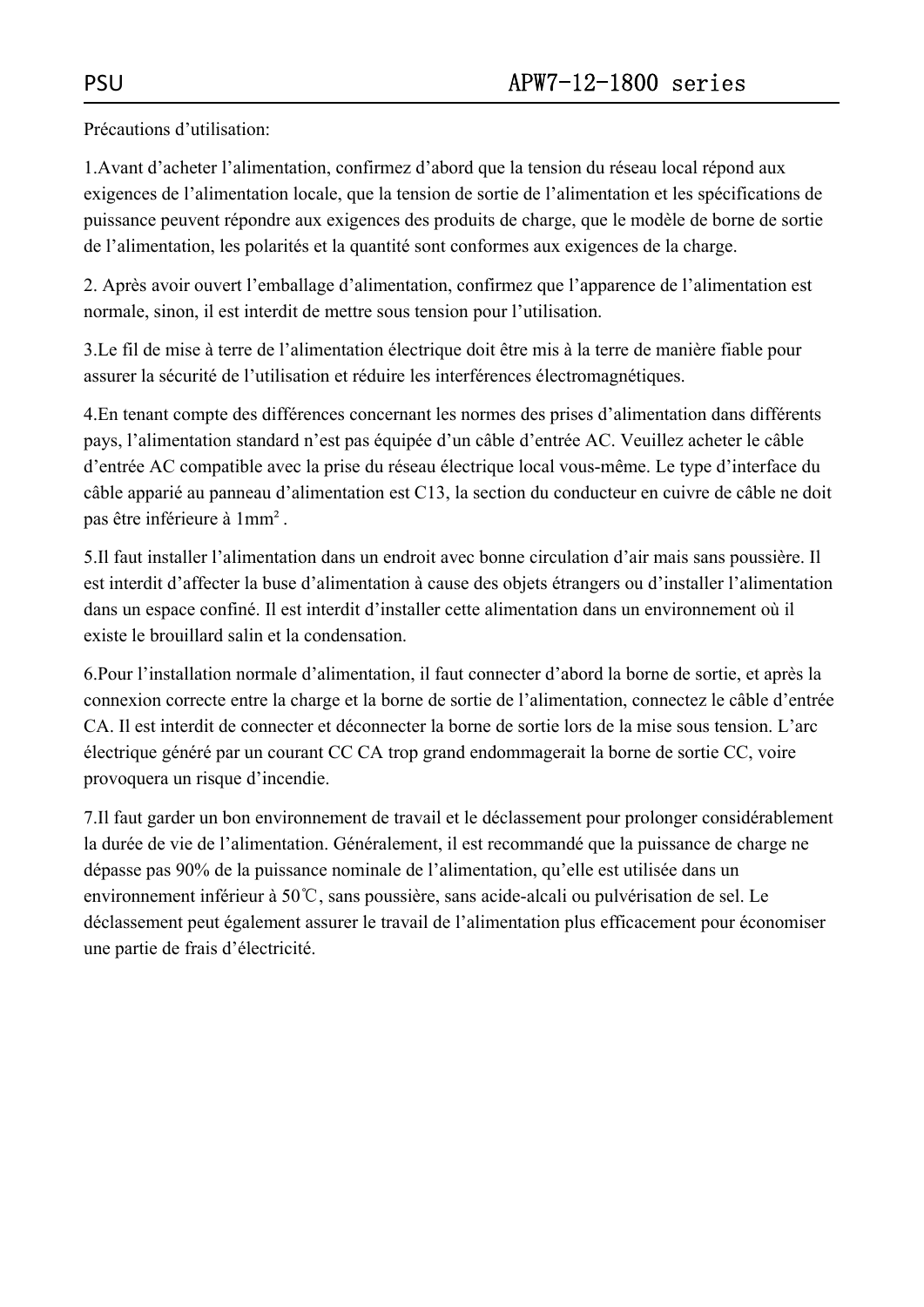Précautions d'utilisation:

1.Avant d'acheter l'alimentation, confirmez d'abord que la tension du réseau local répond aux exigences de l'alimentation locale, que la tension de sortie de l'alimentation et les spécifications de puissance peuvent répondre aux exigences des produits de charge, que le modèle de borne de sortie de l'alimentation, les polarités et la quantité sont conformes aux exigences de la charge.

2. Après avoir ouvert l'emballage d'alimentation, confirmez que l'apparence de l'alimentation est normale, sinon, il est interdit de mettre sous tension pour l'utilisation.

3.Le fil de mise à terre de l'alimentation électrique doit être mis à la terre de manière fiable pour assurer la sécurité de l'utilisation et réduire les interférences électromagnétiques.

4.En tenant compte des différences concernant les normes des prises d'alimentation dans différents pays, l'alimentation standard n'est pas équipée d'un câble d'entrée AC. Veuillez acheter le câble d'entrée AC compatible avec la prise du réseau électrique local vous-même. Le type d'interface du câble apparié au panneau d'alimentation est C13, la section du conducteur en cuivre de câble ne doit pas être inférieure à 1mm².

5.Il faut installer l'alimentation dans un endroit avec bonne circulation d'air mais sans poussière. Il est interdit d'affecter la buse d'alimentation à cause des objets étrangers ou d'installer l'alimentation dans un espace confiné. Il est interdit d'installer cette alimentation dans un environnement où il existe le brouillard salin et la condensation.

6.Pour l'installation normale d'alimentation, il faut connecter d'abord la borne de sortie, et après la connexion correcte entre la charge et la borne de sortie de l'alimentation, connectez le câble d'entrée CA. Il est interdit de connecter et déconnecter la borne de sortie lors de la mise sous tension. L'arc électrique généré par un courant CC CA trop grand endommagerait la borne de sortie CC, voire provoquera un risque d'incendie.

7.Il faut garder un bon environnement de travail et le déclassement pour prolonger considérablement la durée de vie de l'alimentation. Généralement, il est recommandé que la puissance de charge ne dépasse pas 90% de la puissance nominale de l'alimentation, qu'elle est utilisée dans un environnement inférieur à 50℃, sans poussière, sans acide-alcali ou pulvérisation de sel. Le déclassement peut également assurer le travail de l'alimentation plus efficacement pour économiser une partie de frais d'électricité.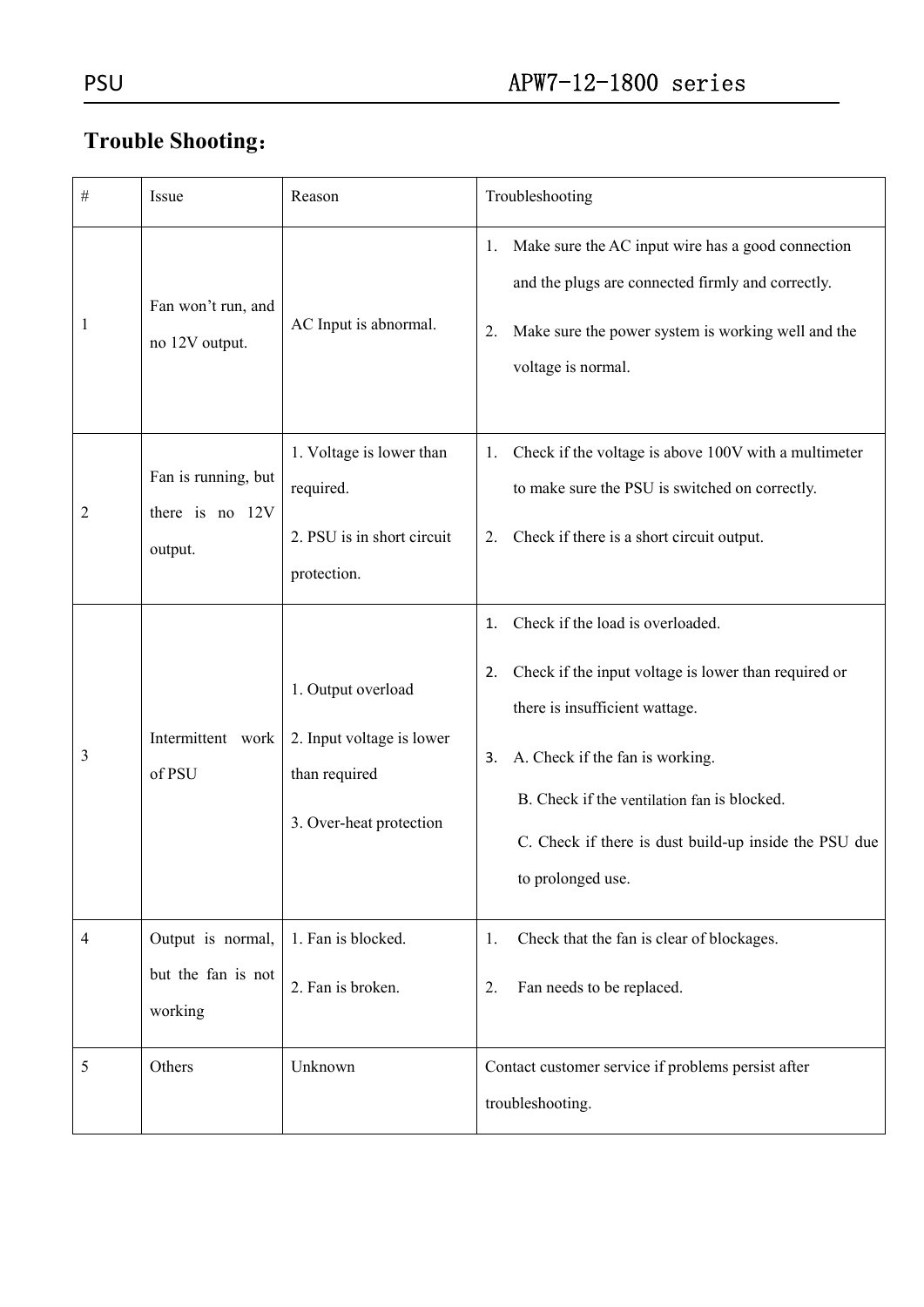# **Trouble Shooting**:

| $\#$ | Issue                                              | Reason                                                                                      | Troubleshooting                                                                                                                                                                                                                                                                                              |  |  |
|------|----------------------------------------------------|---------------------------------------------------------------------------------------------|--------------------------------------------------------------------------------------------------------------------------------------------------------------------------------------------------------------------------------------------------------------------------------------------------------------|--|--|
| 1    | Fan won't run, and<br>no 12V output.               | AC Input is abnormal.                                                                       | Make sure the AC input wire has a good connection<br>1.<br>and the plugs are connected firmly and correctly.<br>Make sure the power system is working well and the<br>2.<br>voltage is normal.                                                                                                               |  |  |
| 2    | Fan is running, but<br>there is no 12V<br>output.  | 1. Voltage is lower than<br>required.<br>2. PSU is in short circuit<br>protection.          | Check if the voltage is above 100V with a multimeter<br>1.<br>to make sure the PSU is switched on correctly.<br>Check if there is a short circuit output.<br>2.                                                                                                                                              |  |  |
| 3    | Intermittent work<br>of PSU                        | 1. Output overload<br>2. Input voltage is lower<br>than required<br>3. Over-heat protection | Check if the load is overloaded.<br>1.<br>Check if the input voltage is lower than required or<br>2.<br>there is insufficient wattage.<br>A. Check if the fan is working.<br>3.<br>B. Check if the ventilation fan is blocked.<br>C. Check if there is dust build-up inside the PSU due<br>to prolonged use. |  |  |
| 4    | Output is normal,<br>but the fan is not<br>working | 1. Fan is blocked.<br>2. Fan is broken.                                                     | Check that the fan is clear of blockages.<br>1.<br>Fan needs to be replaced.<br>2.                                                                                                                                                                                                                           |  |  |
| 5    | Others                                             | Unknown                                                                                     | Contact customer service if problems persist after<br>troubleshooting.                                                                                                                                                                                                                                       |  |  |